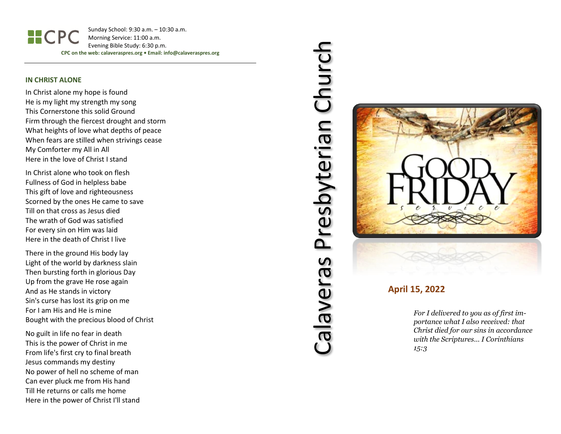Sunday School: 9: 3 0 a.m. – 10:30 a.m. HCPC Morning Service: 1 1 :00 a.m. Evening Bible Study: 6: 30 p.m. **CPC on the web: calaveraspres.org • Email: info@calaveraspres.org**

### **IN CHRIST ALONE**

In Christ alone my hope is found He is my light my strength my song This Cornerstone this solid Ground Firm through the fiercest drought and storm What heights of love what depths of peace When fears are stilled when strivings cease My Comforter my All in All Here in the love of Christ I stand

In Christ alone who took on flesh Fullness of God in helpless babe This gift of love and righteousness Scorned by the ones He came to save Till on that cross as Jesus died The wrath of God was satisfied For every sin on Him was laid Here in the death of Christ I live

There in the ground His body lay Light of the world by darkness slain Then bursting forth in glorious Day Up from the grave He rose again And as He stands in victory Sin's curse has lost its grip on me For I am His and He is mine Bought with the precious blood of Christ

No guilt in life no fear in death This is the power of Christ in me From life's first cry to final breath Jesus commands my destiny No power of hell no scheme of man Can ever pluck me from His hand Till He returns or calls me home Here in the power of Christ I'll stan d

# Calaveras Presbyterian Church Presbyterian Churcl Calaveras



## **April 1 5 , 202 2**

*For I delivered to you as of first importance what I also received: that Christ died for our sins in accordance with the Scriptures … I Corinthians 15:3*